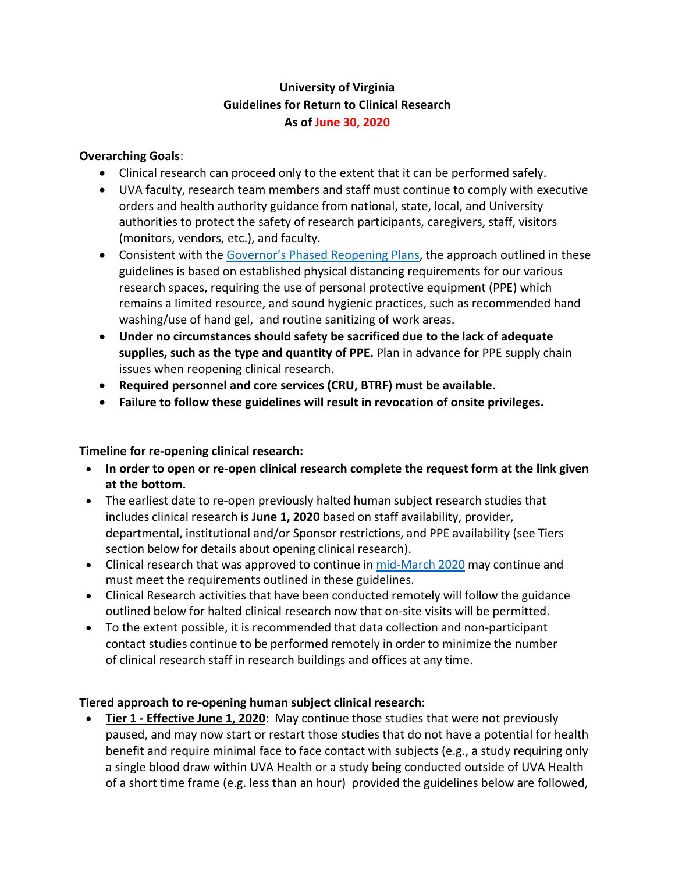# **University of Virginia Guidelines for Return to Clinical Research As of June 30, 2020**

### **Overarching Goals**:

- Clinical research can proceed only to the extent that it can be performed safely.
- UVA faculty, research team members and staff must continue to comply with executive orders and health authority guidance from national, state, local, and University authorities to protect the safety of research participants, caregivers, staff, visitors (monitors, vendors, etc.), and faculty.
- Consistent with the [Governor's Phased](https://www.governor.virginia.gov/newsroom/all-releases/2020/may/headline-856681-en.html) Reopening Plans, the approach outlined in these guidelines is based on established physical distancing requirements for our various research spaces, requiring the use of personal protective equipment (PPE) which remains a limited resource, and sound hygienic practices, such as recommended hand washing/use of hand gel, and routine sanitizing of work areas.
- **Under no circumstances should safety be sacrificed due to the lack of adequate supplies, such as the type and quantity of PPE.** Plan in advance for PPE supply chain issues when reopening clinical research.
- **Required personnel and core services (CRU, BTRF) must be available.**
- **Failure to follow these guidelines will result in revocation of onsite privileges.**

### **Timeline for re-opening clinical research:**

- **In order to open or re-open clinical research complete the request form at the link given at the bottom.**
- The earliest date to re-open previously halted human subject research studies that includes clinical research is **June 1, 2020** based on staff availability, provider, departmental, institutional and/or Sponsor restrictions, and PPE availability (see Tiers section below for details about opening clinical research).
- Clinical research that was approved to continue in [mid-March](https://research.virginia.edu/human-research-protection-program/covid-19-and-human-subject-research-studies) 2020 may continue and must meet the requirements outlined in these guidelines.
- Clinical Research activities that have been conducted remotely will follow the guidance outlined below for halted clinical research now that on-site visits will be permitted.
- To the extent possible, it is recommended that data collection and non-participant contact studies continue to be performed remotely in order to minimize the number of clinical research staff in research buildings and offices at any time.

### **Tiered approach to re-opening human subject clinical research:**

• **Tier 1 - Effective June 1, 2020**: May continue those studies that were not previously paused, and may now start or restart those studies that do not have a potential for health benefit and require minimal face to face contact with subjects (e.g., a study requiring only a single blood draw within UVA Health or a study being conducted outside of UVA Health of a short time frame (e.g. less than an hour) provided the guidelines below are followed,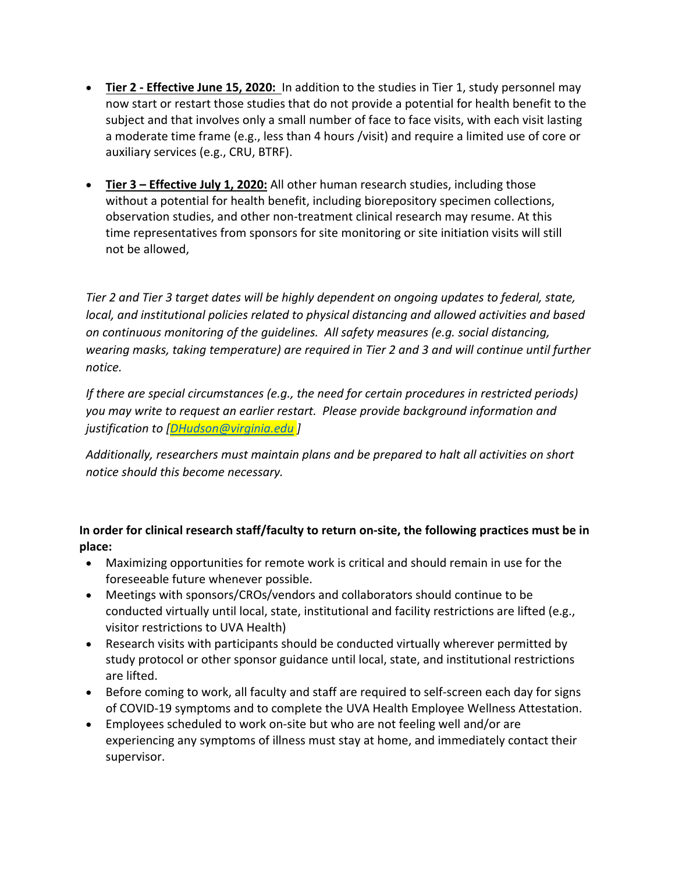- **Tier 2 - Effective June 15, 2020:** In addition to the studies in Tier 1, study personnel may now start or restart those studies that do not provide a potential for health benefit to the subject and that involves only a small number of face to face visits, with each visit lasting a moderate time frame (e.g., less than 4 hours /visit) and require a limited use of core or auxiliary services (e.g., CRU, BTRF).
- **Tier 3 – Effective July 1, 2020:** All other human research studies, including those without a potential for health benefit, including biorepository specimen collections, observation studies, and other non-treatment clinical research may resume. At this time representatives from sponsors for site monitoring or site initiation visits will still not be allowed,

*Tier 2 and Tier 3 target dates will be highly dependent on ongoing updates to federal, state, local, and institutional policies related to physical distancing and allowed activities and based on continuous monitoring of the guidelines. All safety measures (e.g. social distancing, wearing masks, taking temperature) are required in Tier 2 and 3 and will continue until further notice.* 

*If there are special circumstances (e.g., the need for certain procedures in restricted periods) you may write to request an earlier restart. Please provide background information and justification to [\[DHudson@virginia.edu](mailto:DHudson@virginia.edu) ]*

*Additionally, researchers must maintain plans and be prepared to halt all activities on short notice should this become necessary.* 

## **In order for clinical research staff/faculty to return on-site, the following practices must be in place:**

- Maximizing opportunities for remote work is critical and should remain in use for the foreseeable future whenever possible.
- Meetings with sponsors/CROs/vendors and collaborators should continue to be conducted virtually until local, state, institutional and facility restrictions are lifted (e.g., visitor restrictions to UVA Health)
- Research visits with participants should be conducted virtually wherever permitted by study protocol or other sponsor guidance until local, state, and institutional restrictions are lifted.
- Before coming to work, all faculty and staff are required to self-screen each day for signs of COVID-19 symptoms and to complete the UVA Health Employee Wellness Attestation.
- Employees scheduled to work on-site but who are not feeling well and/or are experiencing any symptoms of illness must stay at home, and immediately contact their supervisor.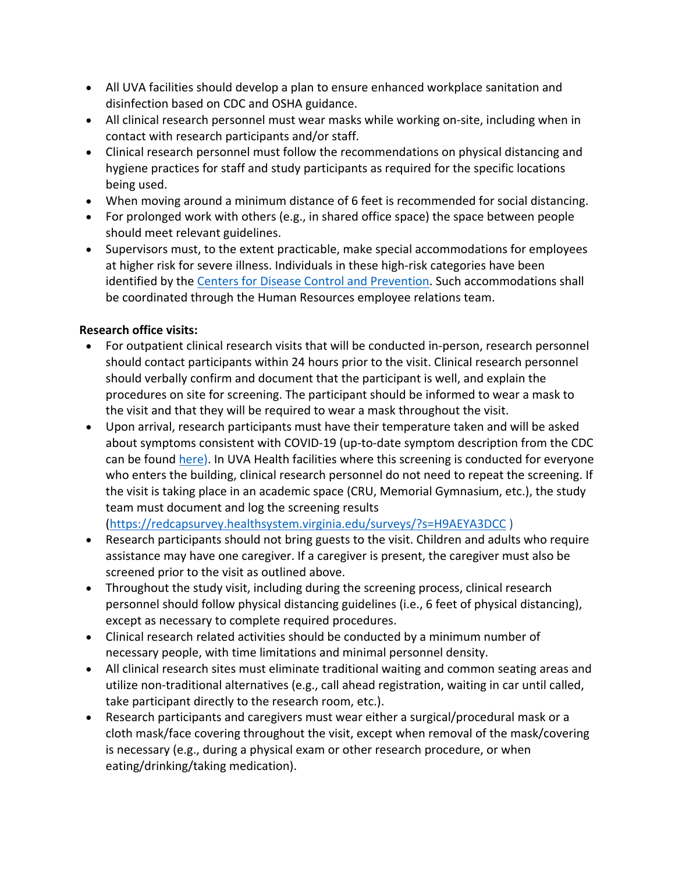- All UVA facilities should develop a plan to ensure enhanced workplace sanitation and disinfection based on CDC and OSHA guidance.
- All clinical research personnel must wear masks while working on-site, including when in contact with research participants and/or staff.
- Clinical research personnel must follow the recommendations on physical distancing and hygiene practices for staff and study participants as required for the specific locations being used.
- When moving around a minimum distance of 6 feet is recommended for social distancing.
- For prolonged work with others (e.g., in shared office space) the space between people should meet relevant guidelines.
- Supervisors must, to the extent practicable, make special accommodations for employees at higher risk for severe illness. Individuals in these high-risk categories have been identified by the [Centers for Disease Control and Prevention.](https://www.cdc.gov/coronavirus/2019-ncov/need-extra-precautions/index.html) Such accommodations shall be coordinated through the Human Resources employee relations team.

## **Research office visits:**

- For outpatient clinical research visits that will be conducted in-person, research personnel should contact participants within 24 hours prior to the visit. Clinical research personnel should verbally confirm and document that the participant is well, and explain the procedures on site for screening. The participant should be informed to wear a mask to the visit and that they will be required to wear a mask throughout the visit.
- Upon arrival, research participants must have their temperature taken and will be asked about symptoms consistent with COVID-19 (up-to-date symptom description from the CDC can be found [here\)](https://www.cdc.gov/coronavirus/2019-ncov/symptoms-testing/symptoms.html). In UVA Health facilities where this screening is conducted for everyone who enters the building, clinical research personnel do not need to repeat the screening. If the visit is taking place in an academic space (CRU, Memorial Gymnasium, etc.), the study team must document and log the screening results

[\(https://redcapsurvey.healthsystem.virginia.edu/surveys/?s=H9AEYA3DCC](https://redcapsurvey.healthsystem.virginia.edu/surveys/?s=H9AEYA3DCC) )

- Research participants should not bring guests to the visit. Children and adults who require assistance may have one caregiver. If a caregiver is present, the caregiver must also be screened prior to the visit as outlined above.
- Throughout the study visit, including during the screening process, clinical research personnel should follow physical distancing guidelines (i.e., 6 feet of physical distancing), except as necessary to complete required procedures.
- Clinical research related activities should be conducted by a minimum number of necessary people, with time limitations and minimal personnel density.
- All clinical research sites must eliminate traditional waiting and common seating areas and utilize non-traditional alternatives (e.g., call ahead registration, waiting in car until called, take participant directly to the research room, etc.).
- Research participants and caregivers must wear either a surgical/procedural mask or a cloth mask/face covering throughout the visit, except when removal of the mask/covering is necessary (e.g., during a physical exam or other research procedure, or when eating/drinking/taking medication).